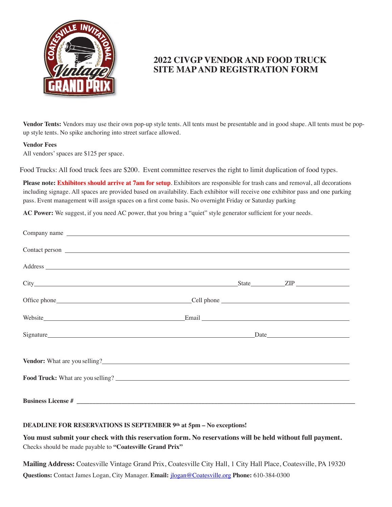

# **2022 CIVGP VENDOR AND FOOD TRUCK SITE MAP AND REGISTRATION FORM**

**Vendor Tents:** Vendors may use their own pop-up style tents. All tents must be presentable and in good shape. All tents must be popup style tents. No spike anchoring into street surface allowed.

### **Vendor Fees**

All vendors' spaces are \$125 per space.

Food Trucks: All food truck fees are \$200. Event committee reserves the right to limit duplication of food types.

**Please note: Exhibitors should arrive at 7am for setup**. Exhibitors are responsible for trash cans and removal, all decorations including signage. All spaces are provided based on availability. Each exhibitor will receive one exhibitor pass and one parking pass. Event management will assign spaces on a first come basis. No overnight Friday or Saturday parking

**AC Power:** We suggest, if you need AC power, that you bring a "quiet" style generator sufficient for your needs.

| Company name                         |  |  |
|--------------------------------------|--|--|
|                                      |  |  |
|                                      |  |  |
|                                      |  |  |
|                                      |  |  |
|                                      |  |  |
|                                      |  |  |
| <b>Vendor:</b> What are you selling? |  |  |
|                                      |  |  |
|                                      |  |  |

#### **DEADLINE FOR RESERVATIONS IS SEPTEMBER 9th at 5pm – No exceptions!**

**You must submit your check with this reservation form. No reservations will be held without full payment.** Checks should be made payable to **"Coatesville Grand Prix"**

**Mailing Address:** Coatesville Vintage Grand Prix, Coatesville City Hall, 1 City Hall Place, Coatesville, PA 19320 **Questions:** Contact James Logan, City Manager. **Email:** [jlogan@Coatesville.org](mailto:jlogan@Coatesville.org) **Phone:** 610-384-0300